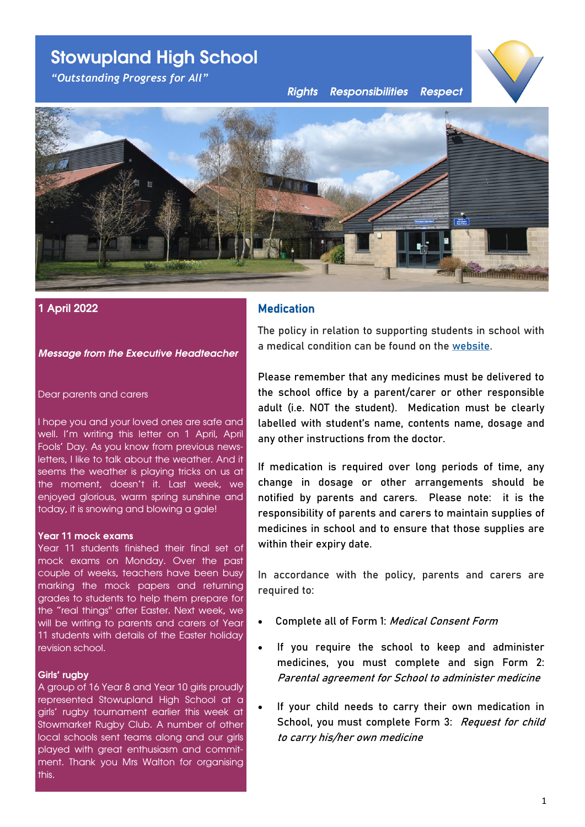# **Stowupland High School**

*"Outstanding Progress for All"*

*Rights Responsibilities Respect*





# **1 April 2022**

# *Message from the Executive Headteacher*

Dear parents and carers

I hope you and your loved ones are safe and well. I'm writing this letter on 1 April, April Fools' Day. As you know from previous newsletters, I like to talk about the weather. And it seems the weather is playing tricks on us at the moment, doesn't it. Last week, we enjoyed glorious, warm spring sunshine and today, it is snowing and blowing a gale!

# **Year 11 mock exams**

Year 11 students finished their final set of mock exams on Monday. Over the past couple of weeks, teachers have been busy marking the mock papers and returning grades to students to help them prepare for the "real things" after Easter. Next week, we will be writing to parents and carers of Year 11 students with details of the Easter holiday revision school.

# **Girls' rugby**

A group of 16 Year 8 and Year 10 girls proudly represented Stowupland High School at a girls' rugby tournament earlier this week at Stowmarket Rugby Club. A number of other local schools sent teams along and our girls played with great enthusiasm and commitment. Thank you Mrs Walton for organising this.

# Medication

The policy in relation to supporting students in school with a medical condition can be found on the [website.](https://www.stowuplandhighschool.co.uk/policies/school-policies/)

Please remember that any medicines must be delivered to the school office by a parent/carer or other responsible adult (i.e. NOT the student). Medication must be clearly labelled with student's name, contents name, dosage and any other instructions from the doctor.

If medication is required over long periods of time, any change in dosage or other arrangements should be notified by parents and carers. Please note: it is the responsibility of parents and carers to maintain supplies of medicines in school and to ensure that those supplies are within their expiry date.

In accordance with the policy, parents and carers are required to:

- Complete all of Form 1: Medical Consent Form
- If you require the school to keep and administer medicines, you must complete and sign Form 2: Parental agreement for School to administer medicine
- If your child needs to carry their own medication in School, you must complete Form 3: Request for child to carry his/her own medicine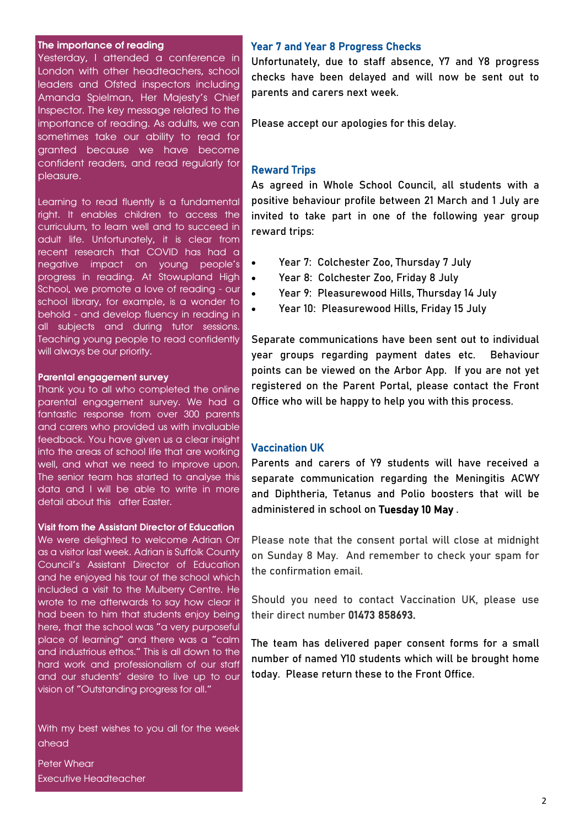# **The importance of reading**

Yesterday, I attended a conference in London with other headteachers, school leaders and Ofsted inspectors including Amanda Spielman, Her Majesty's Chief Inspector. The key message related to the importance of reading. As adults, we can sometimes take our ability to read for granted because we have become confident readers, and read regularly for pleasure.

Learning to read fluently is a fundamental right. It enables children to access the curriculum, to learn well and to succeed in adult life. Unfortunately, it is clear from recent research that COVID has had a negative impact on young people's progress in reading. At Stowupland High School, we promote a love of reading - our school library, for example, is a wonder to behold - and develop fluency in reading in all subjects and during tutor sessions. Teaching young people to read confidently will always be our priority.

#### **Parental engagement survey**

Thank you to all who completed the online parental engagement survey. We had a fantastic response from over 300 parents and carers who provided us with invaluable feedback. You have given us a clear insight into the areas of school life that are working well, and what we need to improve upon. The senior team has started to analyse this data and I will be able to write in more detail about this after Easter.

# **Visit from the Assistant Director of Education**

We were delighted to welcome Adrian Orr as a visitor last week. Adrian is Suffolk County Council's Assistant Director of Education and he enjoyed his tour of the school which included a visit to the Mulberry Centre. He wrote to me afterwards to say how clear it had been to him that students enjoy being here, that the school was "a very purposeful place of learning" and there was a "calm and industrious ethos." This is all down to the hard work and professionalism of our staff and our students' desire to live up to our vision of "Outstanding progress for all."

With my best wishes to you all for the week ahead

Peter Whear Executive Headteacher

### Year 7 and Year 8 Progress Checks

Unfortunately, due to staff absence, Y7 and Y8 progress checks have been delayed and will now be sent out to parents and carers next week.

Please accept our apologies for this delay.

# Reward Trips

As agreed in Whole School Council, all students with a positive behaviour profile between 21 March and 1 July are invited to take part in one of the following year group reward trips:

- Year 7: Colchester Zoo, Thursday 7 July
- Year 8: Colchester Zoo, Friday 8 July
- Year 9: Pleasurewood Hills, Thursday 14 July
- Year 10: Pleasurewood Hills, Friday 15 July

Separate communications have been sent out to individual year groups regarding payment dates etc. Behaviour points can be viewed on the Arbor App. If you are not yet registered on the Parent Portal, please contact the Front Office who will be happy to help you with this process.

# Vaccination UK

Parents and carers of Y9 students will have received a separate communication regarding the Meningitis ACWY and Diphtheria, Tetanus and Polio boosters that will be administered in school on Tuesday 10 May .

Please note that the consent portal will close at midnight on Sunday 8 May. And remember to check your spam for the confirmation email.

Should you need to contact Vaccination UK, please use their direct number 01473 858693.

The team has delivered paper consent forms for a small number of named Y10 students which will be brought home today. Please return these to the Front Office.